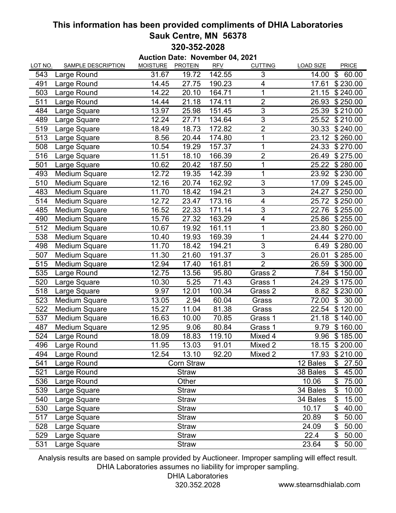## **This information has been provided compliments of DHIA Laboratories Sauk Centre, MN 56378 320-352-2028**

**Auction Date: November 04, 2021**

| LOT NO. | <b>SAMPLE DESCRIPTION</b> | <b>MOISTURE</b> | <b>PROTEIN</b>    | , דע וטע<br><b>RFV</b> | <b>CUTTING</b> | <b>LOAD SIZE</b> | PRICE                   |
|---------|---------------------------|-----------------|-------------------|------------------------|----------------|------------------|-------------------------|
| 543     | Large Round               | 31.67           | 19.72             | 142.55                 | 3              | 14.00            | \$<br>60.00             |
| 491     | Large Round               | 14.45           | 27.75             | 190.23                 | 4              | 17.61            | \$230.00                |
| 503     | Large Round               | 14.22           | 20.10             | 164.71                 | $\overline{1}$ | 21.15            | \$240.00                |
| 511     | Large Round               | 14.44           | 21.18             | 174.11                 | $\overline{2}$ | 26.93            | \$250.00                |
| 484     | Large Square              | 13.97           | 25.98             | 151.45                 | $\overline{3}$ | 25.39            | \$210.00                |
| 489     | Large Square              | 12.24           | 27.71             | 134.64                 | 3              | 25.52            | \$210.00                |
| 519     | Large Square              | 18.49           | 18.73             | 172.82                 | $\overline{2}$ | 30.33            | \$240.00                |
| 513     | Large Square              | 8.56            | 20.44             | 174.80                 | 1              | 23.12            | \$260.00                |
| 508     | Large Square              | 10.54           | 19.29             | 157.37                 | 1              | 24.33            | \$270.00                |
| 516     | Large Square              | 11.51           | 18.10             | 166.39                 | $\overline{c}$ | 26.49            | \$275.00                |
| 501     | Large Square              | 10.62           | 20.42             | 187.50                 | 1              | 25.22            | \$280.00                |
| 493     | <b>Medium Square</b>      | 12.72           | 19.35             | 142.39                 | 1              | 23.92            | \$230.00                |
| 510     | <b>Medium Square</b>      | 12.16           | 20.74             | 162.92                 | 3              | 17.09            | \$245.00                |
| 483     | <b>Medium Square</b>      | 11.70           | 18.42             | 194.21                 | $\overline{3}$ | 24.27            | \$250.00                |
| 514     | <b>Medium Square</b>      | 12.72           | 23.47             | 173.16                 | 4              | 25.72            | \$250.00                |
| 485     | <b>Medium Square</b>      | 16.52           | 22.33             | 171.14                 | $\overline{3}$ | 22.76            | \$255.00                |
| 490     | <b>Medium Square</b>      | 15.76           | 27.32             | 163.29                 | 4              | 25.86            | \$255.00                |
| 512     | <b>Medium Square</b>      | 10.67           | 19.92             | 161.11                 | 1              | 23.80            | \$260.00                |
| 538     | <b>Medium Square</b>      | 10.40           | 19.93             | 169.39                 | 1              | 24.44            | \$270.00                |
| 498     | <b>Medium Square</b>      | 11.70           | 18.42             | 194.21                 | $\overline{3}$ | 6.49             | \$280.00                |
| 507     | Medium Square             | 11.30           | 21.60             | 191.37                 | $\overline{3}$ | 26.01            | \$285.00                |
| 515     | <b>Medium Square</b>      | 12.94           | 17.40             | 161.81                 | $\overline{2}$ | 26.59            | \$300.00                |
| 535     | Large Round               | 12.75           | 13.56             | 95.80                  | Grass 2        | 7.84             | \$150.00                |
| 520     | Large Square              | 10.30           | 5.25              | 71.43                  | Grass 1        | 24.29            | \$175.00                |
| 518     | Large Square              | 9.97            | 12.01             | 100.34                 | Grass 2        | 8.82             | \$230.00                |
| 523     | <b>Medium Square</b>      | 13.05           | 2.94              | 60.04                  | Grass          | 72.00            | $\mathfrak{L}$<br>30.00 |
| 522     | <b>Medium Square</b>      | 15.27           | 11.04             | 81.38                  | Grass          | 22.54            | \$120.00                |
| 537     | <b>Medium Square</b>      | 16.63           | 10.00             | 70.85                  | Grass 1        | 21.18            | \$140.00                |
| 487     | <b>Medium Square</b>      | 12.95           | 9.06              | 80.84                  | Grass 1        | 9.79             | \$160.00                |
| 524     | Large Round               | 18.09           | 18.83             | 119.10                 | Mixed 4        | 9.96             | \$185.00                |
| 496     | Large Round               | 11.95           | 13.03             | 91.01                  | Mixed 2        | 18.15            | \$200.00                |
| 494     | Large Round               | 12.54           | 13.10             | 92.20                  | Mixed 2        | 17.93            | \$210.00                |
| 541     | Large Round               |                 | <b>Corn Straw</b> |                        |                | 12 Bales         | 27.50<br>\$             |
| 521     | Large Round               |                 | <b>Straw</b>      |                        |                | 38 Bales         | \$<br>45.00             |
| 536     | Large Round               |                 | Other             |                        |                | 10.06            | \$<br>75.00             |
| 539     | Large Square              |                 | <b>Straw</b>      |                        |                | 34 Bales         | \$<br>10.00             |
| 540     | Large Square              |                 | <b>Straw</b>      |                        |                | 34 Bales         | 15.00<br>\$             |
| 530     | Large Square              |                 | <b>Straw</b>      |                        |                | 10.17            | \$<br>40.00             |
| 517     | Large Square              |                 | <b>Straw</b>      |                        |                | 20.89            | \$<br>50.00             |
| 528     | Large Square              |                 | <b>Straw</b>      |                        |                | 24.09            | \$<br>50.00             |
| 529     | Large Square              |                 | <b>Straw</b>      |                        |                | 22.4             | \$<br>50.00             |
| 531     | Large Square              |                 | <b>Straw</b>      |                        |                | 23.64            | \$<br>50.00             |

Analysis results are based on sample provided by Auctioneer. Improper sampling will effect result. DHIA Laboratories assumes no liability for improper sampling.

## DHIA Laboratories